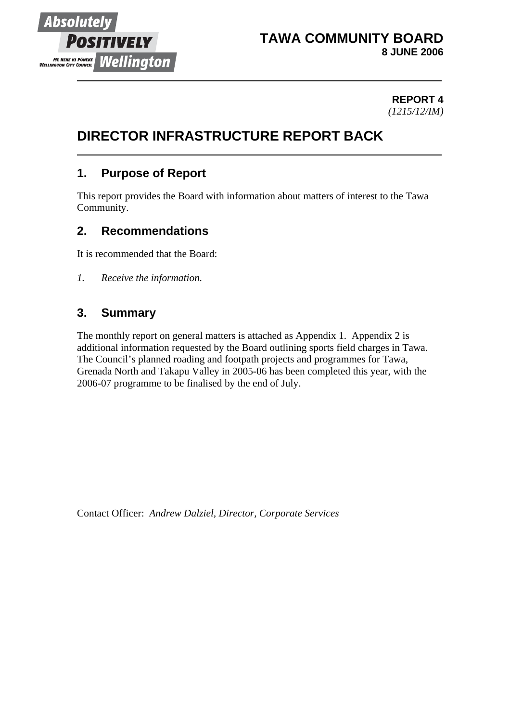

# **TAWA COMMUNITY BOARD 8 JUNE 2006**

**REPORT 4** *(1215/12/IM)* 

# **DIRECTOR INFRASTRUCTURE REPORT BACK**

# **1. Purpose of Report**

This report provides the Board with information about matters of interest to the Tawa Community.

### **2. Recommendations**

It is recommended that the Board:

*1. Receive the information.*

### **3. Summary**

The monthly report on general matters is attached as Appendix 1. Appendix 2 is additional information requested by the Board outlining sports field charges in Tawa. The Council's planned roading and footpath projects and programmes for Tawa, Grenada North and Takapu Valley in 2005-06 has been completed this year, with the 2006-07 programme to be finalised by the end of July.

Contact Officer: *Andrew Dalziel, Director, Corporate Services*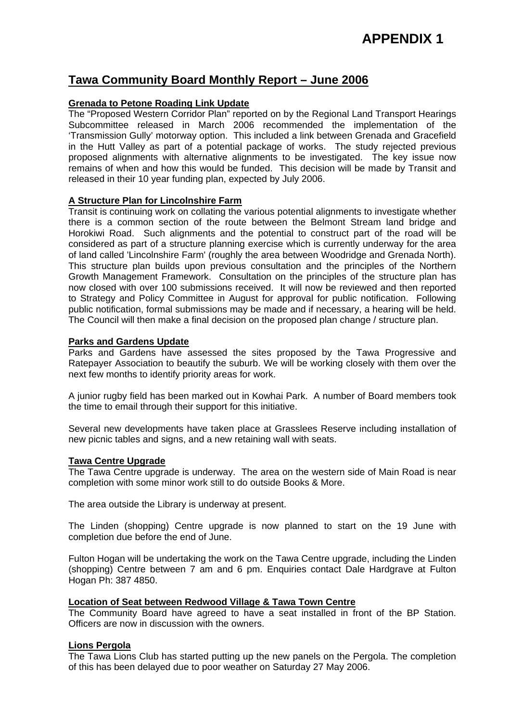### **Tawa Community Board Monthly Report – June 2006**

#### **Grenada to Petone Roading Link Update**

The "Proposed Western Corridor Plan" reported on by the Regional Land Transport Hearings Subcommittee released in March 2006 recommended the implementation of the 'Transmission Gully' motorway option. This included a link between Grenada and Gracefield in the Hutt Valley as part of a potential package of works. The study rejected previous proposed alignments with alternative alignments to be investigated. The key issue now remains of when and how this would be funded. This decision will be made by Transit and released in their 10 year funding plan, expected by July 2006.

#### **A Structure Plan for Lincolnshire Farm**

Transit is continuing work on collating the various potential alignments to investigate whether there is a common section of the route between the Belmont Stream land bridge and Horokiwi Road. Such alignments and the potential to construct part of the road will be considered as part of a structure planning exercise which is currently underway for the area of land called 'Lincolnshire Farm' (roughly the area between Woodridge and Grenada North). This structure plan builds upon previous consultation and the principles of the Northern Growth Management Framework. Consultation on the principles of the structure plan has now closed with over 100 submissions received. It will now be reviewed and then reported to Strategy and Policy Committee in August for approval for public notification. Following public notification, formal submissions may be made and if necessary, a hearing will be held. The Council will then make a final decision on the proposed plan change / structure plan.

#### **Parks and Gardens Update**

Parks and Gardens have assessed the sites proposed by the Tawa Progressive and Ratepayer Association to beautify the suburb. We will be working closely with them over the next few months to identify priority areas for work.

A junior rugby field has been marked out in Kowhai Park. A number of Board members took the time to email through their support for this initiative.

Several new developments have taken place at Grasslees Reserve including installation of new picnic tables and signs, and a new retaining wall with seats.

#### **Tawa Centre Upgrade**

The Tawa Centre upgrade is underway. The area on the western side of Main Road is near completion with some minor work still to do outside Books & More.

The area outside the Library is underway at present.

The Linden (shopping) Centre upgrade is now planned to start on the 19 June with completion due before the end of June.

Fulton Hogan will be undertaking the work on the Tawa Centre upgrade, including the Linden (shopping) Centre between 7 am and 6 pm. Enquiries contact Dale Hardgrave at Fulton Hogan Ph: 387 4850.

#### **Location of Seat between Redwood Village & Tawa Town Centre**

The Community Board have agreed to have a seat installed in front of the BP Station. Officers are now in discussion with the owners.

#### **Lions Pergola**

The Tawa Lions Club has started putting up the new panels on the Pergola. The completion of this has been delayed due to poor weather on Saturday 27 May 2006.